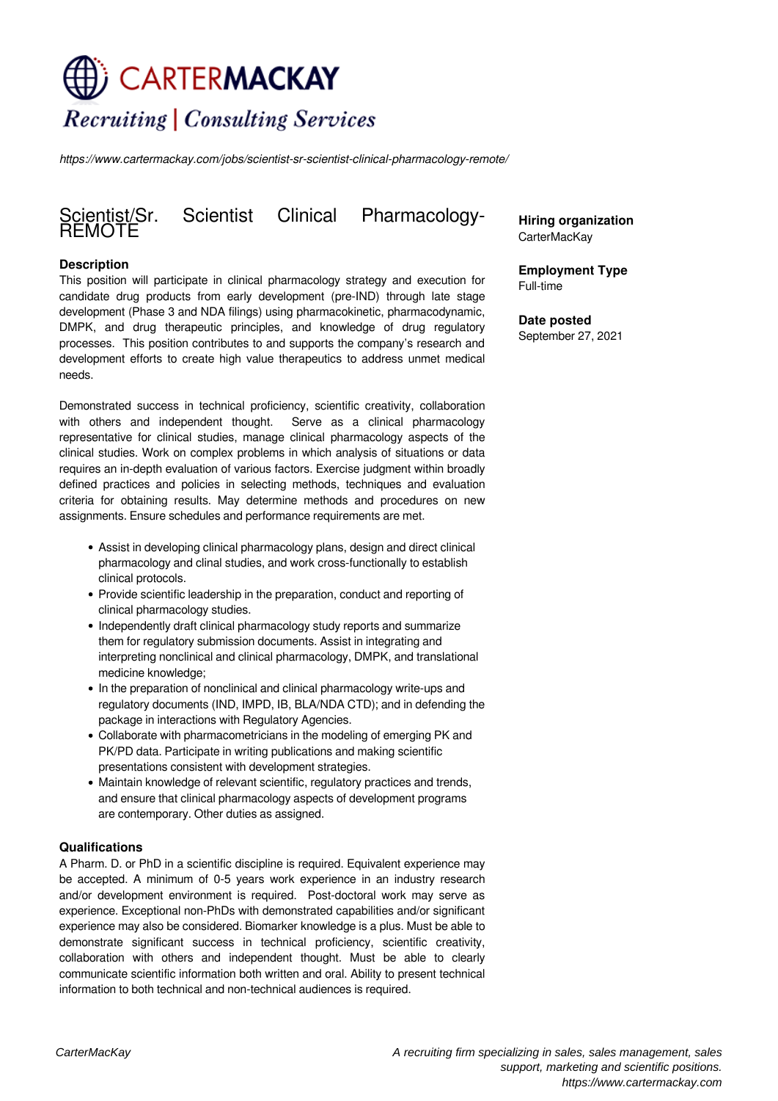# CARTERMACKAY **Recruiting | Consulting Services**

*https://www.cartermackay.com/jobs/scientist-sr-scientist-clinical-pharmacology-remote/*

# Scientist Clinical Pharmacology-Scientist/Sr.<br>REMOTE

### **Description**

This position will participate in clinical pharmacology strategy and execution for candidate drug products from early development (pre-IND) through late stage development (Phase 3 and NDA filings) using pharmacokinetic, pharmacodynamic, DMPK, and drug therapeutic principles, and knowledge of drug regulatory processes. This position contributes to and supports the company's research and development efforts to create high value therapeutics to address unmet medical needs.

Demonstrated success in technical proficiency, scientific creativity, collaboration with others and independent thought. Serve as a clinical pharmacology representative for clinical studies, manage clinical pharmacology aspects of the clinical studies. Work on complex problems in which analysis of situations or data requires an in-depth evaluation of various factors. Exercise judgment within broadly defined practices and policies in selecting methods, techniques and evaluation criteria for obtaining results. May determine methods and procedures on new assignments. Ensure schedules and performance requirements are met.

- Assist in developing clinical pharmacology plans, design and direct clinical pharmacology and clinal studies, and work cross-functionally to establish clinical protocols.
- Provide scientific leadership in the preparation, conduct and reporting of clinical pharmacology studies.
- Independently draft clinical pharmacology study reports and summarize them for regulatory submission documents. Assist in integrating and interpreting nonclinical and clinical pharmacology, DMPK, and translational medicine knowledge;
- In the preparation of nonclinical and clinical pharmacology write-ups and regulatory documents (IND, IMPD, IB, BLA/NDA CTD); and in defending the package in interactions with Regulatory Agencies.
- Collaborate with pharmacometricians in the modeling of emerging PK and PK/PD data. Participate in writing publications and making scientific presentations consistent with development strategies.
- Maintain knowledge of relevant scientific, regulatory practices and trends, and ensure that clinical pharmacology aspects of development programs are contemporary. Other duties as assigned.

#### **Qualifications**

A Pharm. D. or PhD in a scientific discipline is required. Equivalent experience may be accepted. A minimum of 0-5 years work experience in an industry research and/or development environment is required. Post-doctoral work may serve as experience. Exceptional non-PhDs with demonstrated capabilities and/or significant experience may also be considered. Biomarker knowledge is a plus. Must be able to demonstrate significant success in technical proficiency, scientific creativity, collaboration with others and independent thought. Must be able to clearly communicate scientific information both written and oral. Ability to present technical information to both technical and non-technical audiences is required.

**Hiring organization** CarterMacKay

**Employment Type** Full-time

**Date posted** September 27, 2021